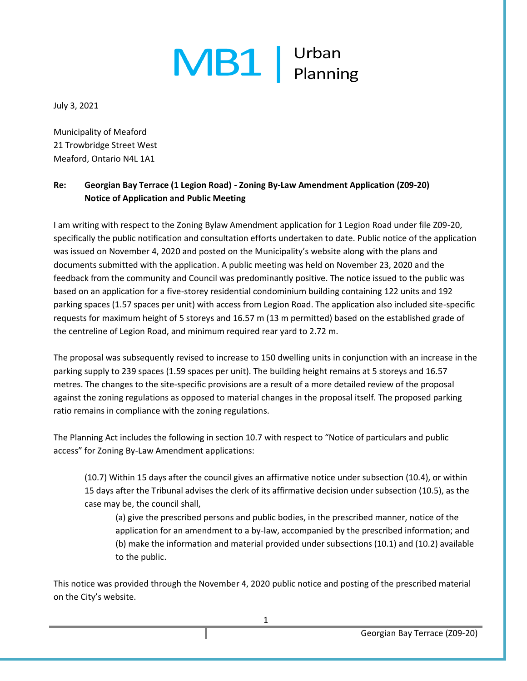## $MB1$   $|$  Urban

July 3, 2021

Municipality of Meaford 21 Trowbridge Street West Meaford, Ontario N4L 1A1

## **Re: Georgian Bay Terrace (1 Legion Road) - Zoning By-Law Amendment Application (Z09-20) Notice of Application and Public Meeting**

I am writing with respect to the Zoning Bylaw Amendment application for 1 Legion Road under file Z09-20, specifically the public notification and consultation efforts undertaken to date. Public notice of the application was issued on November 4, 2020 and posted on the Municipality's website along with the plans and documents submitted with the application. A public meeting was held on November 23, 2020 and the feedback from the community and Council was predominantly positive. The notice issued to the public was based on an application for a five-storey residential condominium building containing 122 units and 192 parking spaces (1.57 spaces per unit) with access from Legion Road. The application also included site-specific requests for maximum height of 5 storeys and 16.57 m (13 m permitted) based on the established grade of the centreline of Legion Road, and minimum required rear yard to 2.72 m.

The proposal was subsequently revised to increase to 150 dwelling units in conjunction with an increase in the parking supply to 239 spaces (1.59 spaces per unit). The building height remains at 5 storeys and 16.57 metres. The changes to the site-specific provisions are a result of a more detailed review of the proposal against the zoning regulations as opposed to material changes in the proposal itself. The proposed parking ratio remains in compliance with the zoning regulations.

The Planning Act includes the following in section 10.7 with respect to "Notice of particulars and public access" for Zoning By-Law Amendment applications:

(10.7) Within 15 days after the council gives an affirmative notice under subsection (10.4), or within 15 days after the Tribunal advises the clerk of its affirmative decision under subsection (10.5), as the case may be, the council shall,

(a) give the prescribed persons and public bodies, in the prescribed manner, notice of the application for an amendment to a by-law, accompanied by the prescribed information; and (b) make the information and material provided under subsections (10.1) and (10.2) available to the public.

This notice was provided through the November 4, 2020 public notice and posting of the prescribed material on the City's website.

1

Georgian Bay Terrace (Z09-20)